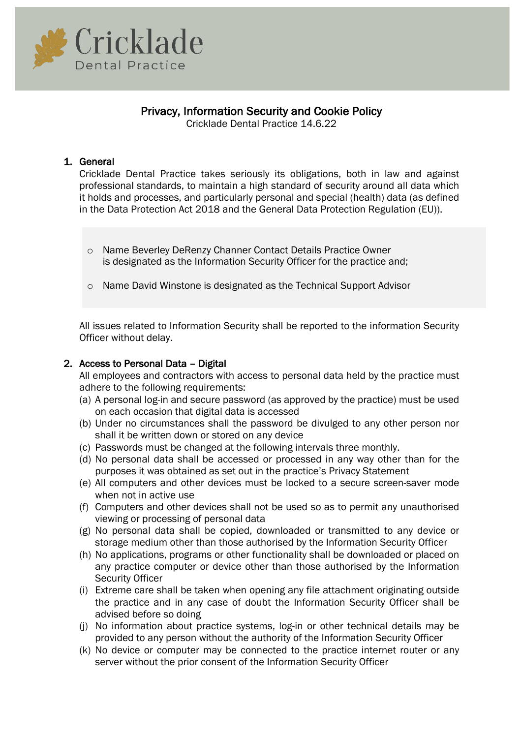

# Privacy, Information Security and Cookie Policy

Cricklade Dental Practice 14.6.22

# 1. General

Cricklade Dental Practice takes seriously its obligations, both in law and against professional standards, to maintain a high standard of security around all data which it holds and processes, and particularly personal and special (health) data (as defined in the Data Protection Act 2018 and the General Data Protection Regulation (EU)).

- o Name Beverley DeRenzy Channer Contact Details Practice Owner is designated as the Information Security Officer for the practice and;
- o Name David Winstone is designated as the Technical Support Advisor

All issues related to Information Security shall be reported to the information Security Officer without delay.

# 2. Access to Personal Data – Digital

All employees and contractors with access to personal data held by the practice must adhere to the following requirements:

- (a) A personal log-in and secure password (as approved by the practice) must be used on each occasion that digital data is accessed
- (b) Under no circumstances shall the password be divulged to any other person nor shall it be written down or stored on any device
- (c) Passwords must be changed at the following intervals three monthly.
- (d) No personal data shall be accessed or processed in any way other than for the purposes it was obtained as set out in the practice's Privacy Statement
- (e) All computers and other devices must be locked to a secure screen-saver mode when not in active use
- (f) Computers and other devices shall not be used so as to permit any unauthorised viewing or processing of personal data
- (g) No personal data shall be copied, downloaded or transmitted to any device or storage medium other than those authorised by the Information Security Officer
- (h) No applications, programs or other functionality shall be downloaded or placed on any practice computer or device other than those authorised by the Information Security Officer
- (i) Extreme care shall be taken when opening any file attachment originating outside the practice and in any case of doubt the Information Security Officer shall be advised before so doing
- (j) No information about practice systems, log-in or other technical details may be provided to any person without the authority of the Information Security Officer
- (k) No device or computer may be connected to the practice internet router or any server without the prior consent of the Information Security Officer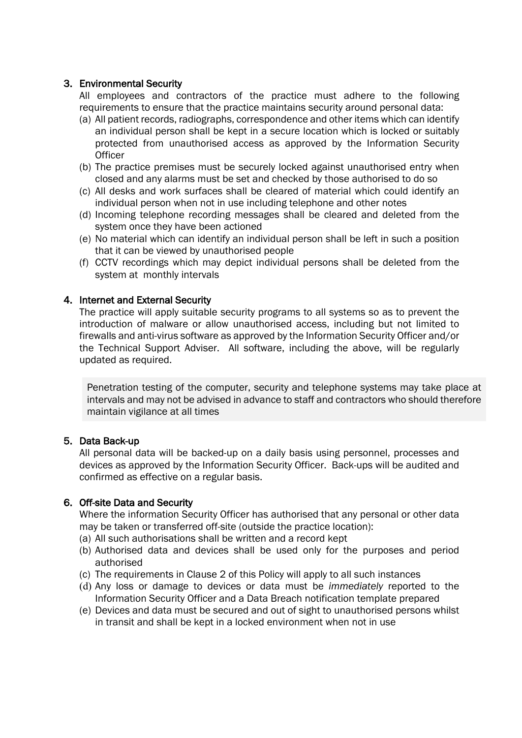# 3. Environmental Security

All employees and contractors of the practice must adhere to the following requirements to ensure that the practice maintains security around personal data:

- (a) All patient records, radiographs, correspondence and other items which can identify an individual person shall be kept in a secure location which is locked or suitably protected from unauthorised access as approved by the Information Security **Officer**
- (b) The practice premises must be securely locked against unauthorised entry when closed and any alarms must be set and checked by those authorised to do so
- (c) All desks and work surfaces shall be cleared of material which could identify an individual person when not in use including telephone and other notes
- (d) Incoming telephone recording messages shall be cleared and deleted from the system once they have been actioned
- (e) No material which can identify an individual person shall be left in such a position that it can be viewed by unauthorised people
- (f) CCTV recordings which may depict individual persons shall be deleted from the system at monthly intervals

# 4. Internet and External Security

The practice will apply suitable security programs to all systems so as to prevent the introduction of malware or allow unauthorised access, including but not limited to firewalls and anti-virus software as approved by the Information Security Officer and/or the Technical Support Adviser. All software, including the above, will be regularly updated as required.

Penetration testing of the computer, security and telephone systems may take place at intervals and may not be advised in advance to staff and contractors who should therefore maintain vigilance at all times

## 5. Data Back-up

All personal data will be backed-up on a daily basis using personnel, processes and devices as approved by the Information Security Officer. Back-ups will be audited and confirmed as effective on a regular basis.

# 6. Off-site Data and Security

Where the information Security Officer has authorised that any personal or other data may be taken or transferred off-site (outside the practice location):

- (a) All such authorisations shall be written and a record kept
- (b) Authorised data and devices shall be used only for the purposes and period authorised
- (c) The requirements in Clause 2 of this Policy will apply to all such instances
- (d) Any loss or damage to devices or data must be *immediately* reported to the Information Security Officer and a Data Breach notification template prepared
- (e) Devices and data must be secured and out of sight to unauthorised persons whilst in transit and shall be kept in a locked environment when not in use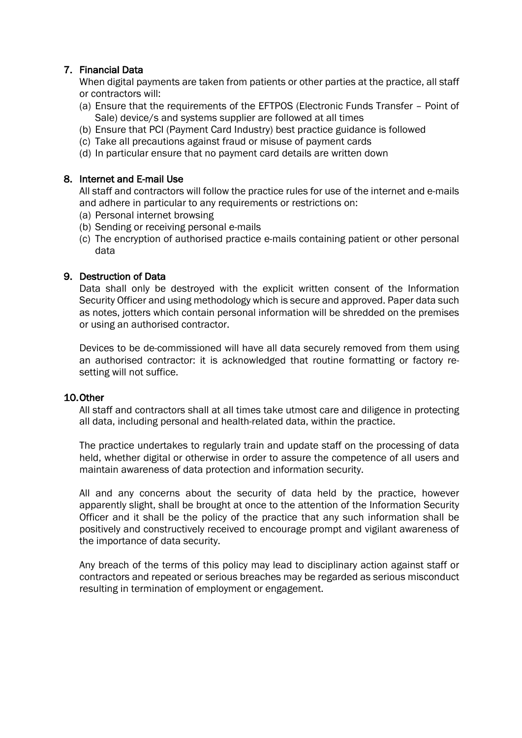# 7. Financial Data

When digital payments are taken from patients or other parties at the practice, all staff or contractors will:

- (a) Ensure that the requirements of the EFTPOS (Electronic Funds Transfer Point of Sale) device/s and systems supplier are followed at all times
- (b) Ensure that PCI (Payment Card Industry) best practice guidance is followed
- (c) Take all precautions against fraud or misuse of payment cards
- (d) In particular ensure that no payment card details are written down

# 8. Internet and E-mail Use

All staff and contractors will follow the practice rules for use of the internet and e-mails and adhere in particular to any requirements or restrictions on:

- (a) Personal internet browsing
- (b) Sending or receiving personal e-mails
- (c) The encryption of authorised practice e-mails containing patient or other personal data

# 9. Destruction of Data

Data shall only be destroyed with the explicit written consent of the Information Security Officer and using methodology which is secure and approved. Paper data such as notes, jotters which contain personal information will be shredded on the premises or using an authorised contractor.

Devices to be de-commissioned will have all data securely removed from them using an authorised contractor: it is acknowledged that routine formatting or factory resetting will not suffice.

## 10.Other

All staff and contractors shall at all times take utmost care and diligence in protecting all data, including personal and health-related data, within the practice.

The practice undertakes to regularly train and update staff on the processing of data held, whether digital or otherwise in order to assure the competence of all users and maintain awareness of data protection and information security.

All and any concerns about the security of data held by the practice, however apparently slight, shall be brought at once to the attention of the Information Security Officer and it shall be the policy of the practice that any such information shall be positively and constructively received to encourage prompt and vigilant awareness of the importance of data security.

Any breach of the terms of this policy may lead to disciplinary action against staff or contractors and repeated or serious breaches may be regarded as serious misconduct resulting in termination of employment or engagement.